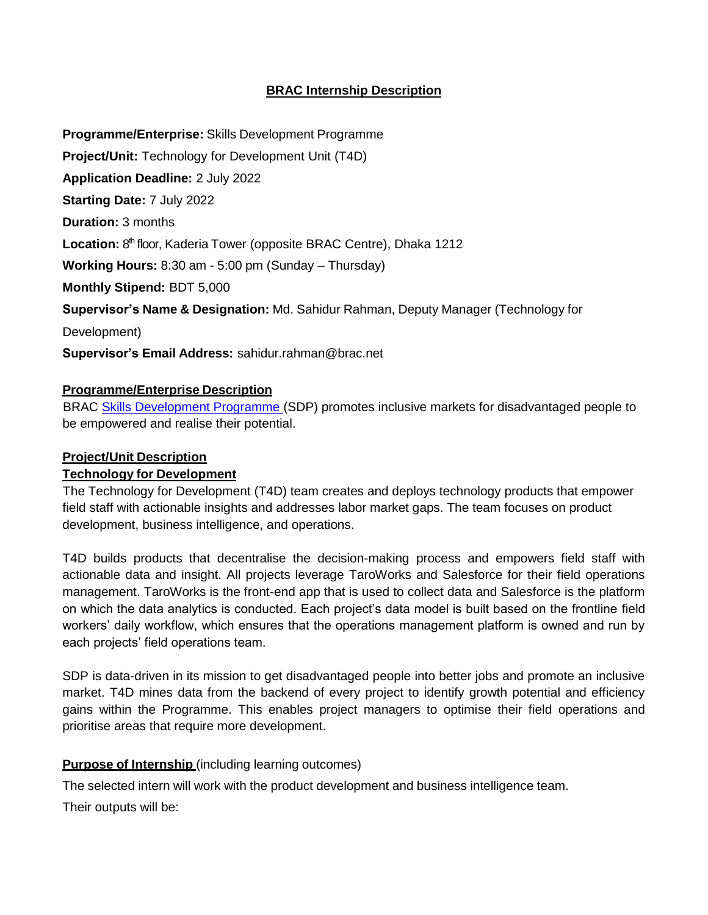# **BRAC Internship Description**

**Programme/Enterprise:** Skills Development Programme

**Project/Unit:** Technology for Development Unit (T4D)

**Application Deadline:** 2 July 2022

**Starting Date:** 7 July 2022

**Duration:** 3 months

Location: 8<sup>th</sup> floor, Kaderia Tower (opposite BRAC Centre), Dhaka 1212

**Working Hours:** 8:30 am - 5:00 pm (Sunday – Thursday)

**Monthly Stipend:** BDT 5,000

**Supervisor's Name & Designation:** Md. Sahidur Rahman, Deputy Manager (Technology for

Development)

**Supervisor's Email Address:** [sahidur.rahman@brac.net](mailto:sahidur.rahman@brac.net)

### **Programme/Enterprise Description**

 BRAC [Skills Development Programme \(](http://www.brac.net/program/skills-development/)SDP) promotes inclusive markets for disadvantaged people to be empowered and realise their potential.

# **Project/Unit Description**

#### **Technology for Development**

 The Technology for Development (T4D) team creates and deploys technology products that empower field staff with actionable insights and addresses labor market gaps. The team focuses on product development, business intelligence, and operations.

T4D builds products that decentralise the decision-making process and empowers field staff with actionable data and insight. All projects leverage TaroWorks and Salesforce for their field operations management. TaroWorks is the front-end app that is used to collect data and Salesforce is the platform on which the data analytics is conducted. Each project's data model is built based on the frontline field workers' daily workflow, which ensures that the operations management platform is owned and run by each projects' field operations team.

SDP is data-driven in its mission to get disadvantaged people into better jobs and promote an inclusive market. T4D mines data from the backend of every project to identify growth potential and efficiency gains within the Programme. This enables project managers to optimise their field operations and prioritise areas that require more development.

# **Purpose of Internship** (including learning outcomes)

The selected intern will work with the product development and business intelligence team.

Their outputs will be: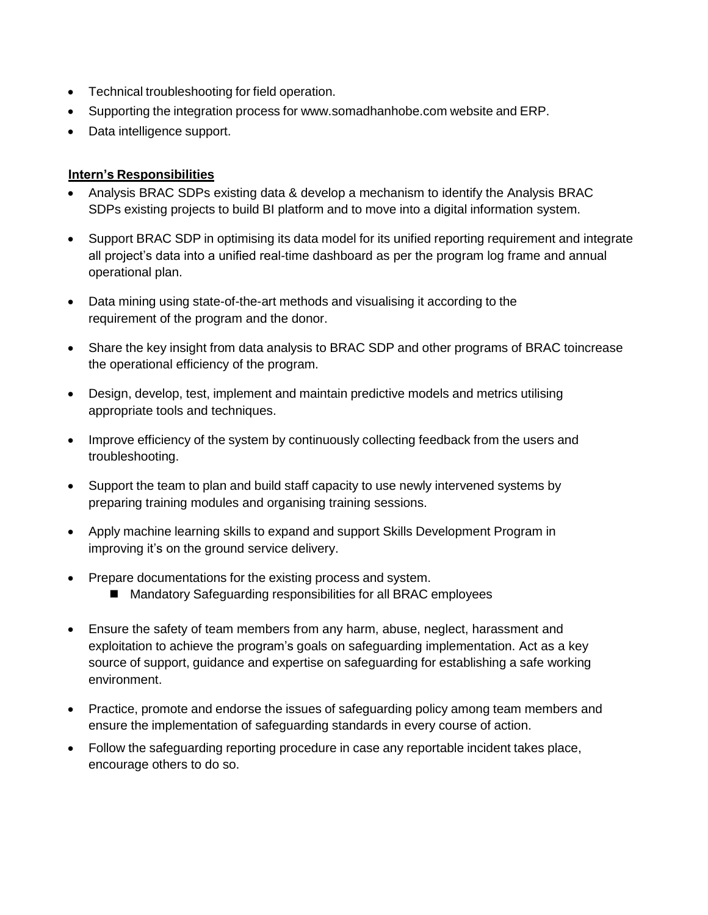- Technical troubleshooting for field operation.
- Supporting the integration process for [www.somadhanhobe.com](http://www.somadhanhobe.com/) website and ERP.
- Data intelligence support.

### **Intern's Responsibilities**

- Analysis BRAC SDPs existing data & develop a mechanism to identify the Analysis BRAC SDPs existing projects to build BI platform and to move into a digital information system.
- Support BRAC SDP in optimising its data model for its unified reporting requirement and integrate all project's data into a unified real-time dashboard as per the program log frame and annual operational plan.
- Data mining using state-of-the-art methods and visualising it according to the requirement of the program and the donor.
- Share the key insight from data analysis to BRAC SDP and other programs of BRAC toincrease the operational efficiency of the program.
- Design, develop, test, implement and maintain predictive models and metrics utilising appropriate tools and techniques.
- Improve efficiency of the system by continuously collecting feedback from the users and troubleshooting.
- Support the team to plan and build staff capacity to use newly intervened systems by preparing training modules and organising training sessions.
- Apply machine learning skills to expand and support Skills Development Program in improving it's on the ground service delivery.
- Prepare documentations for the existing process and system.
	- Mandatory Safeguarding responsibilities for all BRAC employees
- Ensure the safety of team members from any harm, abuse, neglect, harassment and exploitation to achieve the program's goals on safeguarding implementation. Act as a key source of support, guidance and expertise on safeguarding for establishing a safe working environment.
- Practice, promote and endorse the issues of safeguarding policy among team members and ensure the implementation of safeguarding standards in every course of action.
- Follow the safeguarding reporting procedure in case any reportable incident takes place, encourage others to do so.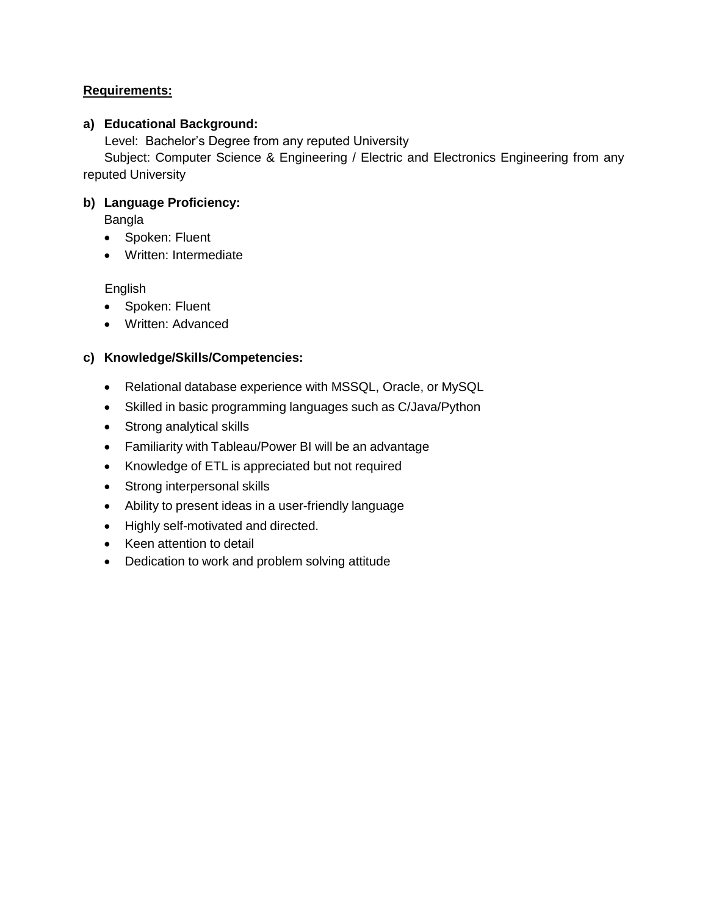### **Requirements:**

#### **a) Educational Background:**

Level: Bachelor's Degree from any reputed University

 Subject: Computer Science & Engineering / Electric and Electronics Engineering from any reputed University

### **b) Language Proficiency:**

Bangla

- Spoken: Fluent
- Written: Intermediate

English

- Spoken: Fluent
- Written: Advanced

### **c) Knowledge/Skills/Competencies:**

- Relational database experience with MSSQL, Oracle, or MySQL
- Skilled in basic programming languages such as C/Java/Python
- Strong analytical skills
- Familiarity with Tableau/Power BI will be an advantage
- Knowledge of ETL is appreciated but not required
- Strong interpersonal skills
- Ability to present ideas in a user-friendly language
- Highly self-motivated and directed.
- Keen attention to detail
- Dedication to work and problem solving attitude